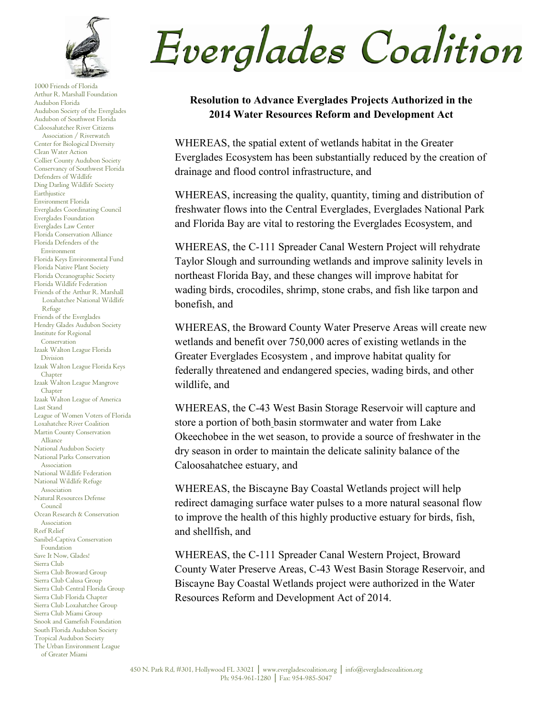

1000 Friends of Florida Arthur R. Marshall Foundation Audubon Florida Audubon Society of the Everglades Audubon of Southwest Florida Caloosahatchee River Citizens Association / Riverwatch Center for Biological Diversity Clean Water Action Collier County Audubon Society Conservancy of Southwest Florida Defenders of Wildlife Ding Darling Wildlife Society Earthiustice Environment Florida Everglades Coordinating Council Everglades Foundation Everglades Law Center Florida Conservation Alliance Florida Defenders of the Environment Florida Keys Environmental Fund Florida Native Plant Society Florida Oceanographic Society Florida Wildlife Federation Friends of the Arthur R. Marshall Loxahatchee National Wildlife Refuge Friends of the Everglades Hendry Glades Audubon Society Institute for Regional Conservation Izaak Walton League Florida Division Izaak Walton League Florida Keys Chapter Izaak Walton League Mangrove Chapter Izaak Walton League of America Last Stand League of Women Voters of Florida Loxahatchee River Coalition Martin County Conservation Alliance National Audubon Society National Parks Conservation Association National Wildlife Federation National Wildlife Refuge Association Natural Resources Defense Council Ocean Research & Conservation Association Reef Relief Sanibel-Captiva Conservation Foundation Save It Now, Glades! Sierra Club Sierra Club Broward Group Sierra Club Calusa Group Sierra Club Central Florida Group Sierra Club Florida Chapter Sierra Club Loxahatchee Group Sierra Club Miami Group Snook and Gamefish Foundation South Florida Audubon Society Tropical Audubon Society The Urban Environment League of Greater Miami

Everglades Coalition

## **Resolution to Advance Everglades Projects Authorized in the 2014 Water Resources Reform and Development Act**

WHEREAS, the spatial extent of wetlands habitat in the Greater Everglades Ecosystem has been substantially reduced by the creation of drainage and flood control infrastructure, and

WHEREAS, increasing the quality, quantity, timing and distribution of freshwater flows into the Central Everglades, Everglades National Park and Florida Bay are vital to restoring the Everglades Ecosystem, and

WHEREAS, the C-111 Spreader Canal Western Project will rehydrate Taylor Slough and surrounding wetlands and improve salinity levels in northeast Florida Bay, and these changes will improve habitat for wading birds, crocodiles, shrimp, stone crabs, and fish like tarpon and bonefish, and

WHEREAS, the Broward County Water Preserve Areas will create new wetlands and benefit over 750,000 acres of existing wetlands in the Greater Everglades Ecosystem , and improve habitat quality for federally threatened and endangered species, wading birds, and other wildlife, and

WHEREAS, the C-43 West Basin Storage Reservoir will capture and store a portion of both basin stormwater and water from Lake Okeechobee in the wet season, to provide a source of freshwater in the dry season in order to maintain the delicate salinity balance of the Caloosahatchee estuary, and

WHEREAS, the Biscayne Bay Coastal Wetlands project will help redirect damaging surface water pulses to a more natural seasonal flow to improve the health of this highly productive estuary for birds, fish, and shellfish, and

WHEREAS, the C-111 Spreader Canal Western Project, Broward County Water Preserve Areas, C-43 West Basin Storage Reservoir, and Biscayne Bay Coastal Wetlands project were authorized in the Water Resources Reform and Development Act of 2014.